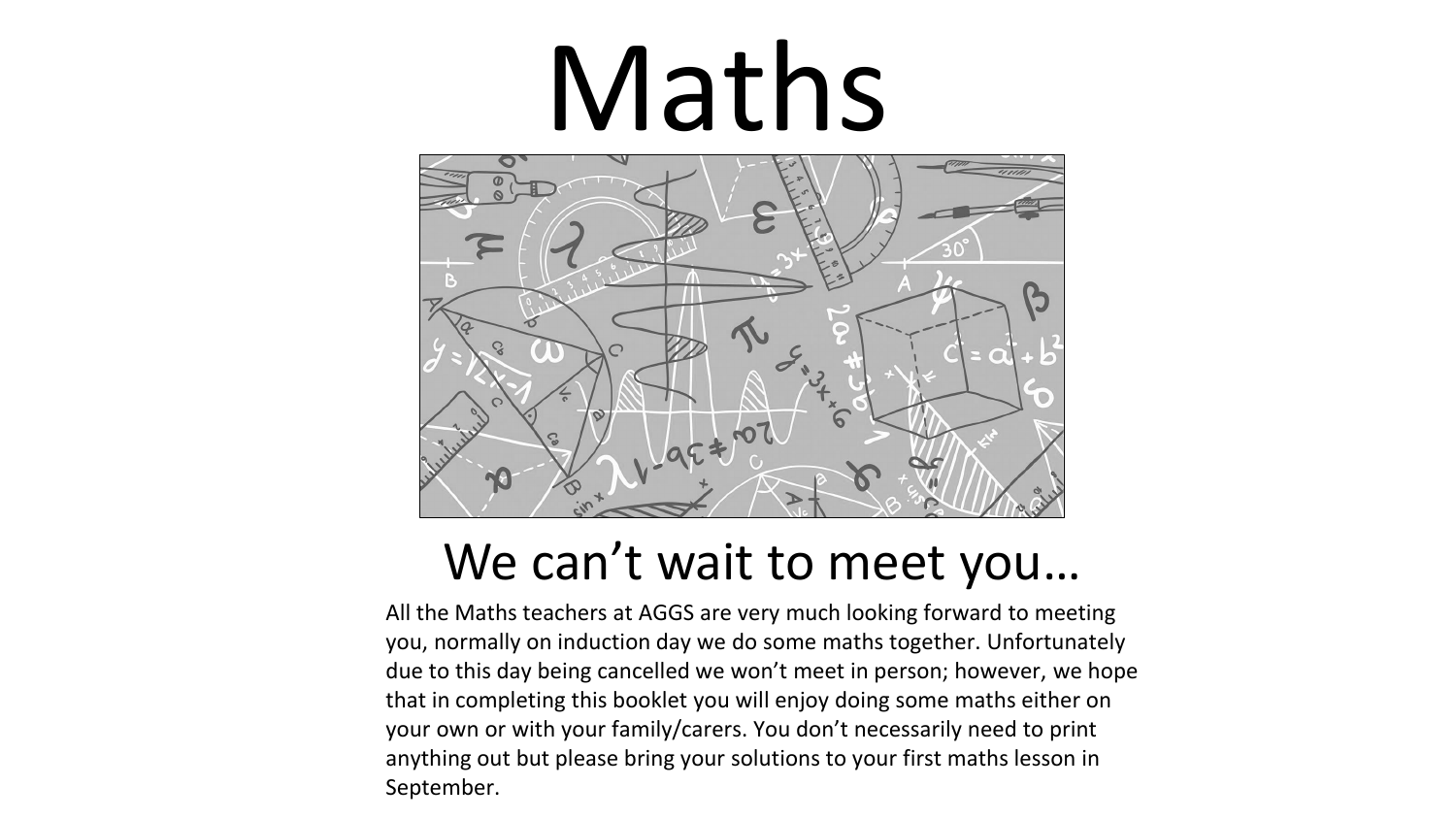# Maths



## We can't wait to meet you…

All the Maths teachers at AGGS are very much looking forward to meeting you, normally on induction day we do some maths together. Unfortunately due to this day being cancelled we won't meet in person; however, we hope that in completing this booklet you will enjoy doing some maths either on your own or with your family/carers. You don't necessarily need to print anything out but please bring your solutions to your first maths lesson in September.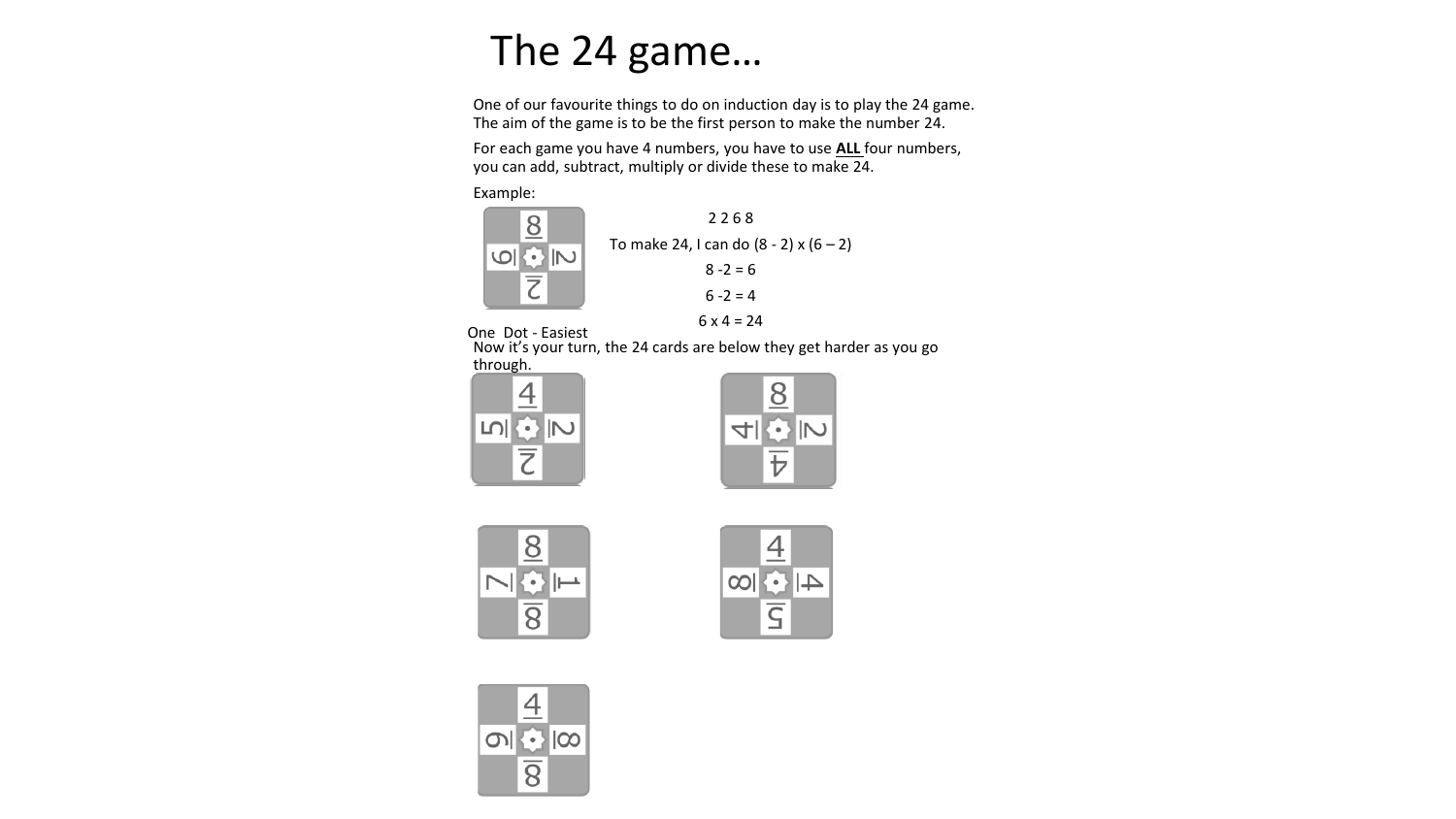## The 24 game…

One of our favourite things to do on induction day is to play the 24 game. The aim of the game is to be the first person to make the number 24.

For each game you have 4 numbers, you have to use **ALL** four numbers, you can add, subtract, multiply or divide these to make 24.

Example:





One Dot - Easiest

Now it's your turn, the 24 cards are below they get harder as you go through.









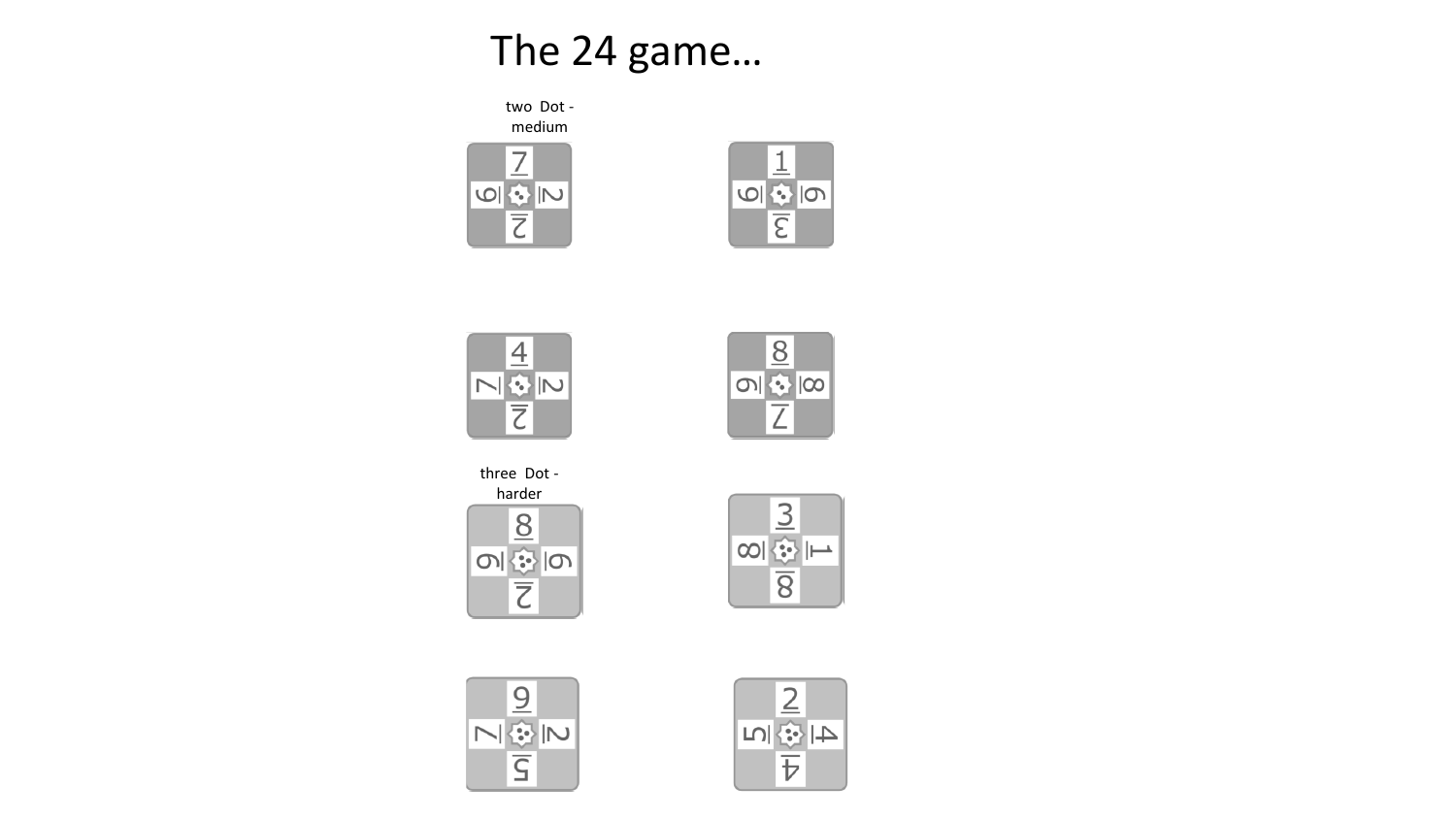### The 24 game…

two Dot medium









three Dot harder $8$ 이 金 | 0  $\overline{\zeta}$ 





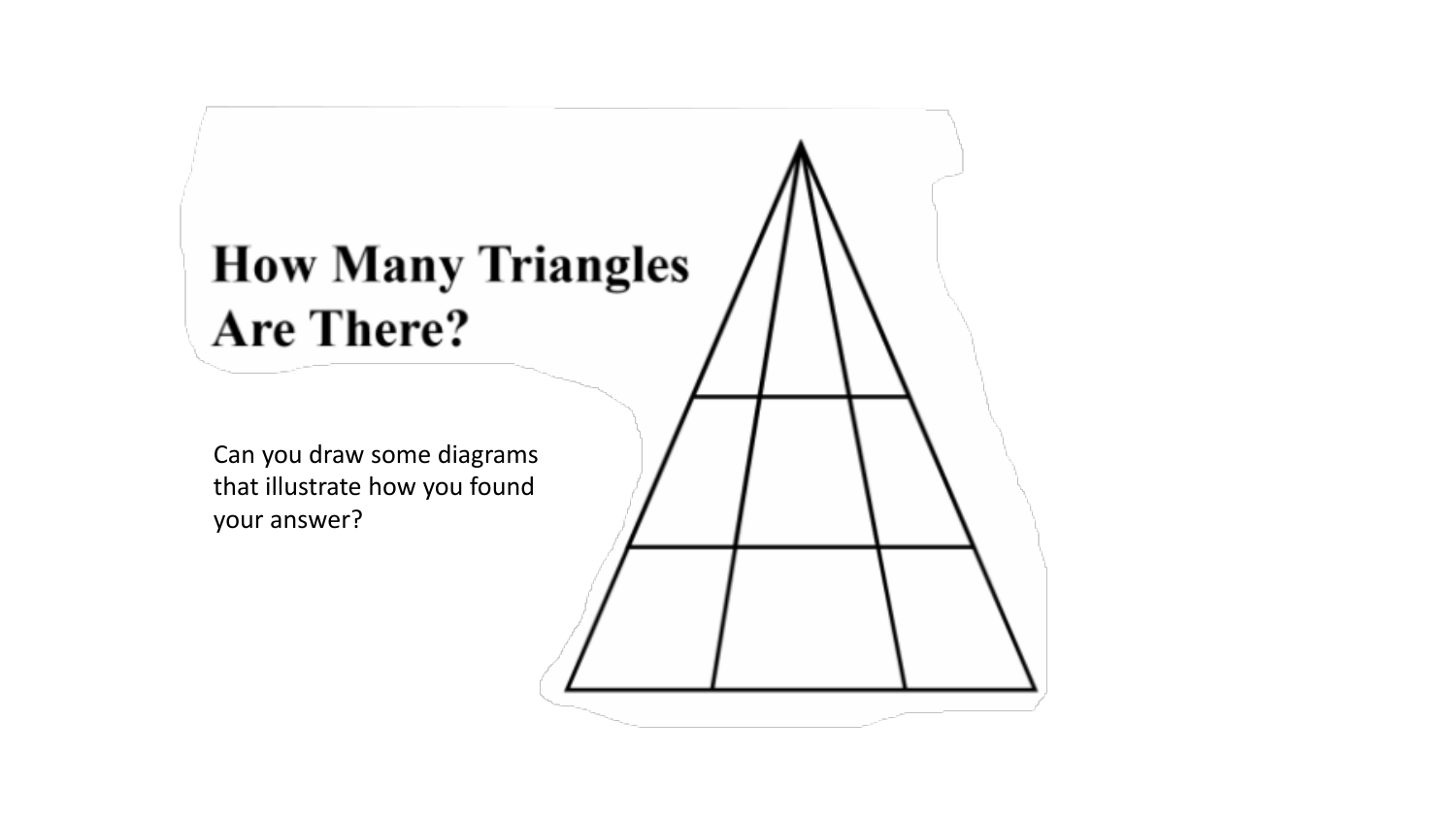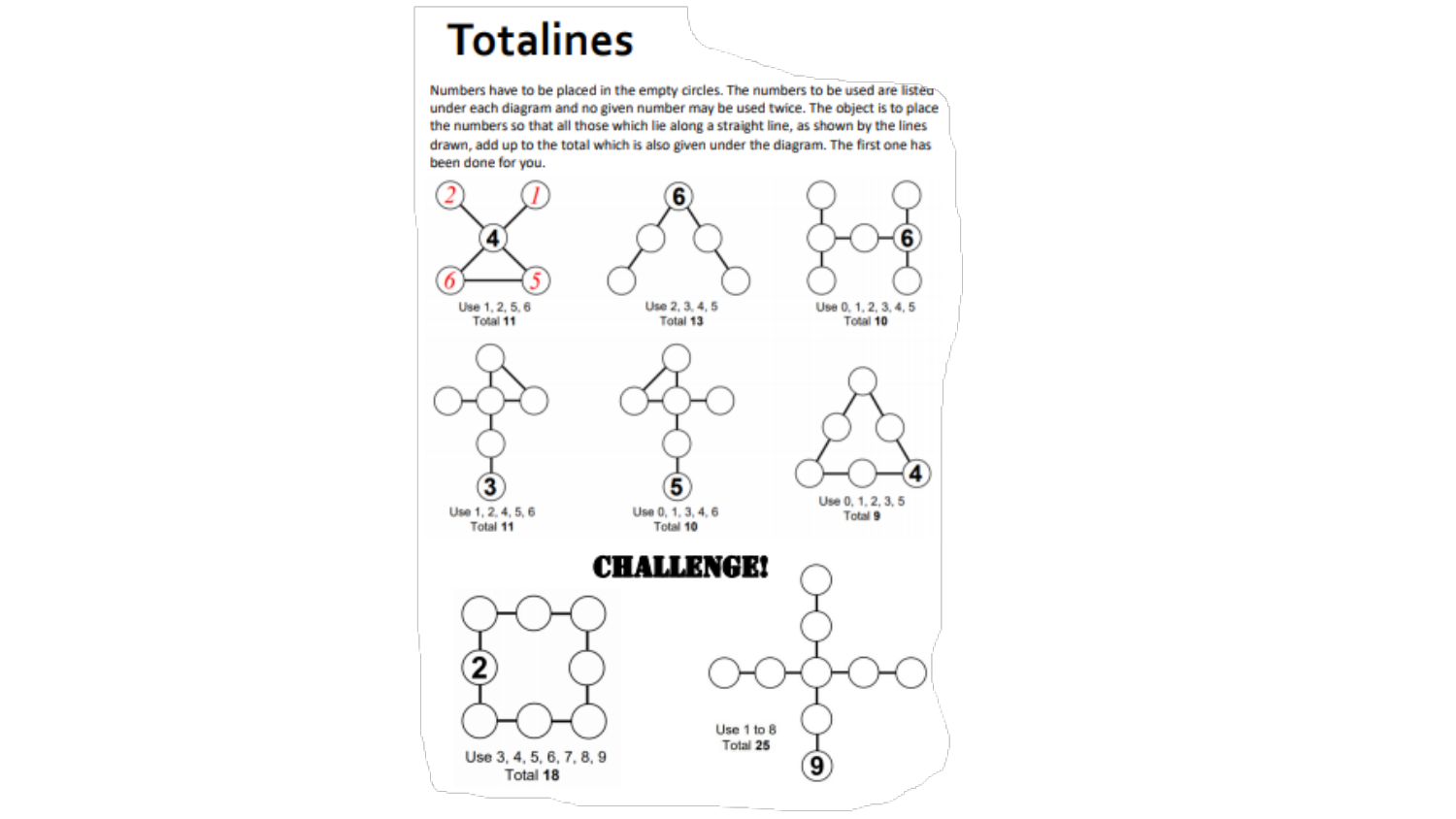#### **Totalines**

Numbers have to be placed in the empty circles. The numbers to be used are listed under each diagram and no given number may be used twice. The object is to place the numbers so that all those which lie along a straight line, as shown by the lines drawn, add up to the total which is also given under the diagram. The first one has been done for you.

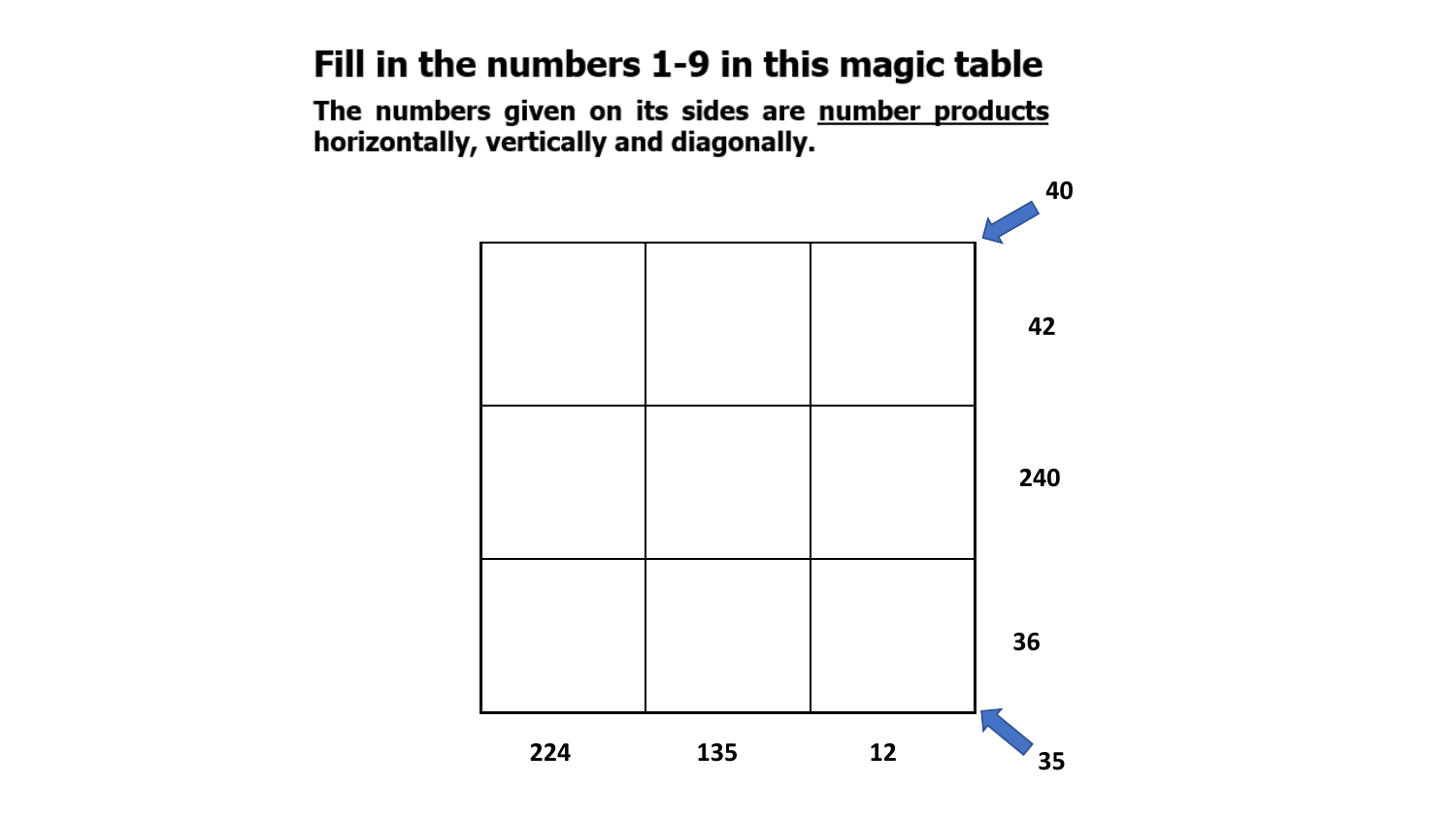#### Fill in the numbers 1-9 in this magic table

The numbers given on its sides are number products horizontally, vertically and diagonally.